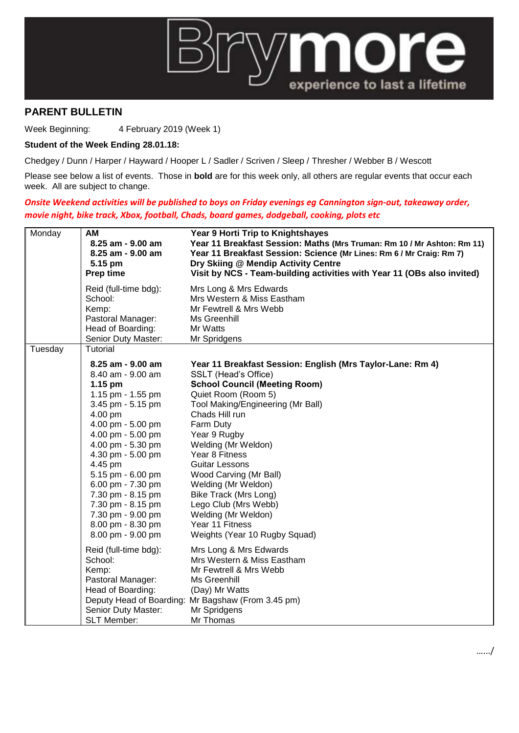

## **PARENT BULLETIN**

Week Beginning: 4 February 2019 (Week 1)

## **Student of the Week Ending 28.01.18:**

Chedgey / Dunn / Harper / Hayward / Hooper L / Sadler / Scriven / Sleep / Thresher / Webber B / Wescott

Please see below a list of events. Those in **bold** are for this week only, all others are regular events that occur each week. All are subject to change.

## *Onsite Weekend activities will be published to boys on Friday evenings eg Cannington sign-out, takeaway order, movie night, bike track, Xbox, football, Chads, board games, dodgeball, cooking, plots etc*

| Reid (full-time bdg):<br>Mrs Long & Mrs Edwards<br>Mrs Western & Miss Eastham<br>School:<br>Mr Fewtrell & Mrs Webb<br>Kemp:<br>Pastoral Manager:<br>Ms Greenhill<br>Head of Boarding:<br>Mr Watts<br>Senior Duty Master:<br>Mr Spridgens<br>Tuesday<br>Tutorial<br>8.25 am - 9.00 am<br>Year 11 Breakfast Session: English (Mrs Taylor-Lane: Rm 4)<br>8.40 am - 9.00 am<br>SSLT (Head's Office)<br><b>School Council (Meeting Room)</b><br>$1.15$ pm<br>1.15 pm - 1.55 pm<br>Quiet Room (Room 5)<br>3.45 pm - 5.15 pm<br>Tool Making/Engineering (Mr Ball)<br>Chads Hill run<br>4.00 pm<br>4.00 pm - 5.00 pm<br>Farm Duty<br>4.00 pm - 5.00 pm<br>Year 9 Rugby<br>4.00 pm - 5.30 pm<br>Welding (Mr Weldon)<br>4.30 pm - 5.00 pm<br>Year 8 Fitness<br>4.45 pm<br><b>Guitar Lessons</b><br>5.15 pm - 6.00 pm<br>Wood Carving (Mr Ball)<br>6.00 pm - 7.30 pm<br>Welding (Mr Weldon)<br>7.30 pm - 8.15 pm<br>Bike Track (Mrs Long)<br>7.30 pm - 8.15 pm<br>Lego Club (Mrs Webb)<br>7.30 pm - 9.00 pm<br>Welding (Mr Weldon)<br>8.00 pm - 8.30 pm<br>Year 11 Fitness<br>8.00 pm - 9.00 pm<br>Weights (Year 10 Rugby Squad)<br>Reid (full-time bdg):<br>Mrs Long & Mrs Edwards<br>School:<br>Mrs Western & Miss Eastham<br>Kemp:<br>Mr Fewtrell & Mrs Webb<br>Pastoral Manager:<br>Ms Greenhill<br>Head of Boarding:<br>(Day) Mr Watts<br>Deputy Head of Boarding: Mr Bagshaw (From 3.45 pm)<br>Senior Duty Master:<br>Mr Spridgens | Monday | <b>AM</b><br>8.25 am - 9.00 am<br>8.25 am - 9.00 am<br>5.15 pm<br>Prep time | Year 9 Horti Trip to Knightshayes<br>Year 11 Breakfast Session: Maths (Mrs Truman: Rm 10 / Mr Ashton: Rm 11)<br>Year 11 Breakfast Session: Science (Mr Lines: Rm 6 / Mr Craig: Rm 7)<br>Dry Skiing @ Mendip Activity Centre<br>Visit by NCS - Team-building activities with Year 11 (OBs also invited) |
|-------------------------------------------------------------------------------------------------------------------------------------------------------------------------------------------------------------------------------------------------------------------------------------------------------------------------------------------------------------------------------------------------------------------------------------------------------------------------------------------------------------------------------------------------------------------------------------------------------------------------------------------------------------------------------------------------------------------------------------------------------------------------------------------------------------------------------------------------------------------------------------------------------------------------------------------------------------------------------------------------------------------------------------------------------------------------------------------------------------------------------------------------------------------------------------------------------------------------------------------------------------------------------------------------------------------------------------------------------------------------------------------------------------------------------|--------|-----------------------------------------------------------------------------|--------------------------------------------------------------------------------------------------------------------------------------------------------------------------------------------------------------------------------------------------------------------------------------------------------|
|                                                                                                                                                                                                                                                                                                                                                                                                                                                                                                                                                                                                                                                                                                                                                                                                                                                                                                                                                                                                                                                                                                                                                                                                                                                                                                                                                                                                                               |        |                                                                             |                                                                                                                                                                                                                                                                                                        |
|                                                                                                                                                                                                                                                                                                                                                                                                                                                                                                                                                                                                                                                                                                                                                                                                                                                                                                                                                                                                                                                                                                                                                                                                                                                                                                                                                                                                                               |        |                                                                             |                                                                                                                                                                                                                                                                                                        |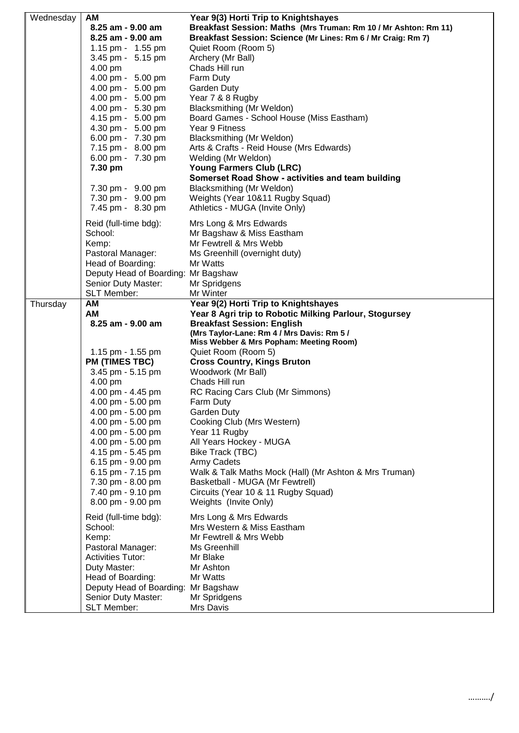| Wednesday | AM<br>8.25 am - 9.00 am<br>8.25 am - 9.00 am<br>1.15 pm - 1.55 pm<br>3.45 pm - 5.15 pm<br>4.00 pm<br>4.00 pm - 5.00 pm<br>4.00 pm - 5.00 pm<br>4.00 pm - 5.00 pm<br>4.00 pm - 5.30 pm<br>4.15 pm - 5.00 pm                                                                                                                                                              | Year 9(3) Horti Trip to Knightshayes<br>Breakfast Session: Maths (Mrs Truman: Rm 10 / Mr Ashton: Rm 11)<br>Breakfast Session: Science (Mr Lines: Rm 6 / Mr Craig: Rm 7)<br>Quiet Room (Room 5)<br>Archery (Mr Ball)<br>Chads Hill run<br>Farm Duty<br>Garden Duty<br>Year 7 & 8 Rugby<br>Blacksmithing (Mr Weldon)<br>Board Games - School House (Miss Eastham)                                                                                                                                                                                                                                                                                                             |
|-----------|-------------------------------------------------------------------------------------------------------------------------------------------------------------------------------------------------------------------------------------------------------------------------------------------------------------------------------------------------------------------------|-----------------------------------------------------------------------------------------------------------------------------------------------------------------------------------------------------------------------------------------------------------------------------------------------------------------------------------------------------------------------------------------------------------------------------------------------------------------------------------------------------------------------------------------------------------------------------------------------------------------------------------------------------------------------------|
|           | 4.30 pm - 5.00 pm<br>6.00 pm - 7.30 pm<br>7.15 pm - 8.00 pm<br>6.00 pm - 7.30 pm<br>7.30 pm<br>7.30 pm - 9.00 pm<br>7.30 pm - 9.00 pm<br>7.45 pm - 8.30 pm                                                                                                                                                                                                              | Year 9 Fitness<br>Blacksmithing (Mr Weldon)<br>Arts & Crafts - Reid House (Mrs Edwards)<br>Welding (Mr Weldon)<br><b>Young Farmers Club (LRC)</b><br>Somerset Road Show - activities and team building<br>Blacksmithing (Mr Weldon)<br>Weights (Year 10&11 Rugby Squad)<br>Athletics - MUGA (Invite Only)                                                                                                                                                                                                                                                                                                                                                                   |
|           | Reid (full-time bdg):<br>School:<br>Kemp:<br>Pastoral Manager:<br>Head of Boarding:<br>Deputy Head of Boarding: Mr Bagshaw<br>Senior Duty Master:<br>SLT Member:                                                                                                                                                                                                        | Mrs Long & Mrs Edwards<br>Mr Bagshaw & Miss Eastham<br>Mr Fewtrell & Mrs Webb<br>Ms Greenhill (overnight duty)<br>Mr Watts<br>Mr Spridgens<br>Mr Winter                                                                                                                                                                                                                                                                                                                                                                                                                                                                                                                     |
| Thursday  | AM<br>AM<br>8.25 am - 9.00 am<br>1.15 pm - 1.55 pm<br><b>PM (TIMES TBC)</b><br>3.45 pm - 5.15 pm<br>4.00 pm<br>4.00 pm - 4.45 pm<br>4.00 pm - 5.00 pm<br>4.00 pm - 5.00 pm<br>4.00 pm - 5.00 pm<br>4.00 pm - 5.00 pm<br>4.00 pm - 5.00 pm<br>4.15 pm - 5.45 pm<br>6.15 pm - 9.00 pm<br>6.15 pm - 7.15 pm<br>7.30 pm - 8.00 pm<br>7.40 pm - 9.10 pm<br>8.00 pm - 9.00 pm | Year 9(2) Horti Trip to Knightshayes<br>Year 8 Agri trip to Robotic Milking Parlour, Stogursey<br><b>Breakfast Session: English</b><br>(Mrs Taylor-Lane: Rm 4 / Mrs Davis: Rm 5 /<br>Miss Webber & Mrs Popham: Meeting Room)<br>Quiet Room (Room 5)<br><b>Cross Country, Kings Bruton</b><br>Woodwork (Mr Ball)<br>Chads Hill run<br>RC Racing Cars Club (Mr Simmons)<br>Farm Duty<br>Garden Duty<br>Cooking Club (Mrs Western)<br>Year 11 Rugby<br>All Years Hockey - MUGA<br>Bike Track (TBC)<br>Army Cadets<br>Walk & Talk Maths Mock (Hall) (Mr Ashton & Mrs Truman)<br>Basketball - MUGA (Mr Fewtrell)<br>Circuits (Year 10 & 11 Rugby Squad)<br>Weights (Invite Only) |
|           | Reid (full-time bdg):<br>School:<br>Kemp:<br>Pastoral Manager:<br><b>Activities Tutor:</b><br>Duty Master:<br>Head of Boarding:<br>Deputy Head of Boarding:<br>Senior Duty Master:<br><b>SLT Member:</b>                                                                                                                                                                | Mrs Long & Mrs Edwards<br>Mrs Western & Miss Eastham<br>Mr Fewtrell & Mrs Webb<br>Ms Greenhill<br>Mr Blake<br>Mr Ashton<br>Mr Watts<br>Mr Bagshaw<br>Mr Spridgens<br>Mrs Davis                                                                                                                                                                                                                                                                                                                                                                                                                                                                                              |